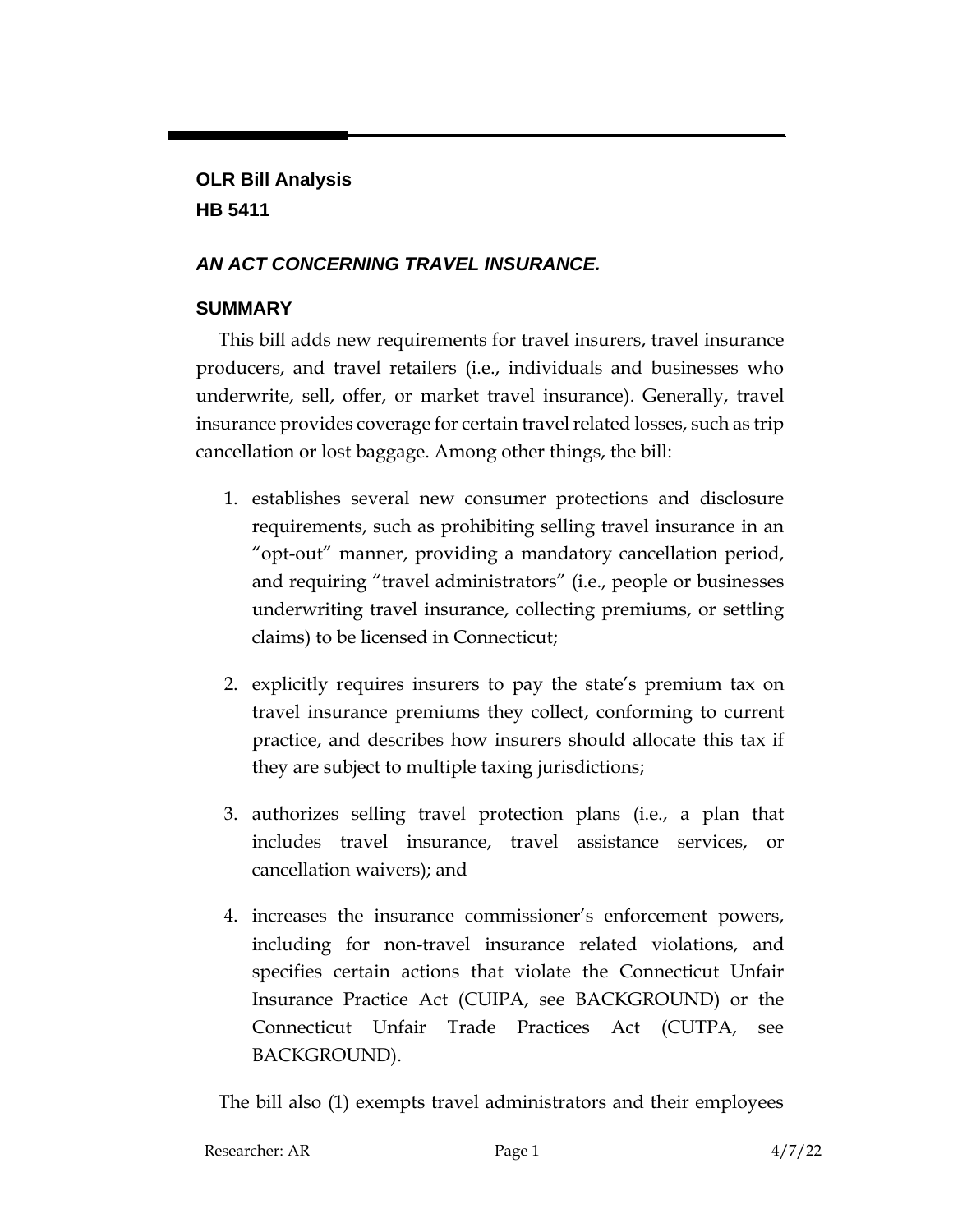# **OLR Bill Analysis HB 5411**

# *AN ACT CONCERNING TRAVEL INSURANCE.*

# **SUMMARY**

This bill adds new requirements for travel insurers, travel insurance producers, and travel retailers (i.e., individuals and businesses who underwrite, sell, offer, or market travel insurance). Generally, travel insurance provides coverage for certain travel related losses, such as trip cancellation or lost baggage. Among other things, the bill:

- 1. establishes several new consumer protections and disclosure requirements, such as prohibiting selling travel insurance in an "opt-out" manner, providing a mandatory cancellation period, and requiring "travel administrators" (i.e., people or businesses underwriting travel insurance, collecting premiums, or settling claims) to be licensed in Connecticut;
- 2. explicitly requires insurers to pay the state's premium tax on travel insurance premiums they collect, conforming to current practice, and describes how insurers should allocate this tax if they are subject to multiple taxing jurisdictions;
- 3. authorizes selling travel protection plans (i.e., a plan that includes travel insurance, travel assistance services, or cancellation waivers); and
- 4. increases the insurance commissioner's enforcement powers, including for non-travel insurance related violations, and specifies certain actions that violate the Connecticut Unfair Insurance Practice Act (CUIPA, see BACKGROUND) or the Connecticut Unfair Trade Practices Act (CUTPA, see BACKGROUND).

The bill also (1) exempts travel administrators and their employees

| Researcher: AR | Page 1 | 4/7/22 |
|----------------|--------|--------|
|                |        |        |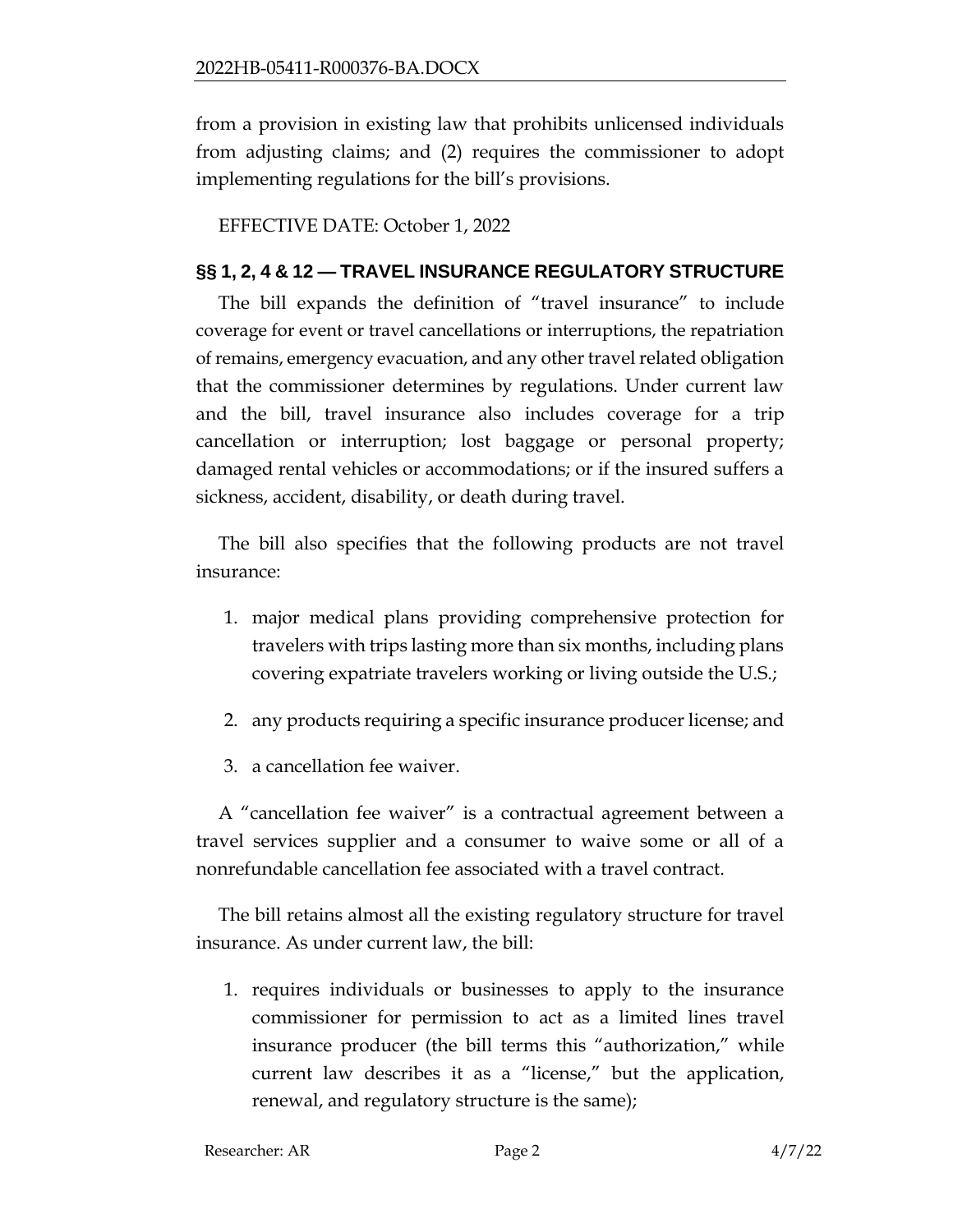from a provision in existing law that prohibits unlicensed individuals from adjusting claims; and (2) requires the commissioner to adopt implementing regulations for the bill's provisions.

EFFECTIVE DATE: October 1, 2022

#### **§§ 1, 2, 4 & 12 — TRAVEL INSURANCE REGULATORY STRUCTURE**

The bill expands the definition of "travel insurance" to include coverage for event or travel cancellations or interruptions, the repatriation of remains, emergency evacuation, and any other travel related obligation that the commissioner determines by regulations. Under current law and the bill, travel insurance also includes coverage for a trip cancellation or interruption; lost baggage or personal property; damaged rental vehicles or accommodations; or if the insured suffers a sickness, accident, disability, or death during travel.

The bill also specifies that the following products are not travel insurance:

- 1. major medical plans providing comprehensive protection for travelers with trips lasting more than six months, including plans covering expatriate travelers working or living outside the U.S.;
- 2. any products requiring a specific insurance producer license; and
- 3. a cancellation fee waiver.

A "cancellation fee waiver" is a contractual agreement between a travel services supplier and a consumer to waive some or all of a nonrefundable cancellation fee associated with a travel contract.

The bill retains almost all the existing regulatory structure for travel insurance. As under current law, the bill:

1. requires individuals or businesses to apply to the insurance commissioner for permission to act as a limited lines travel insurance producer (the bill terms this "authorization," while current law describes it as a "license," but the application, renewal, and regulatory structure is the same);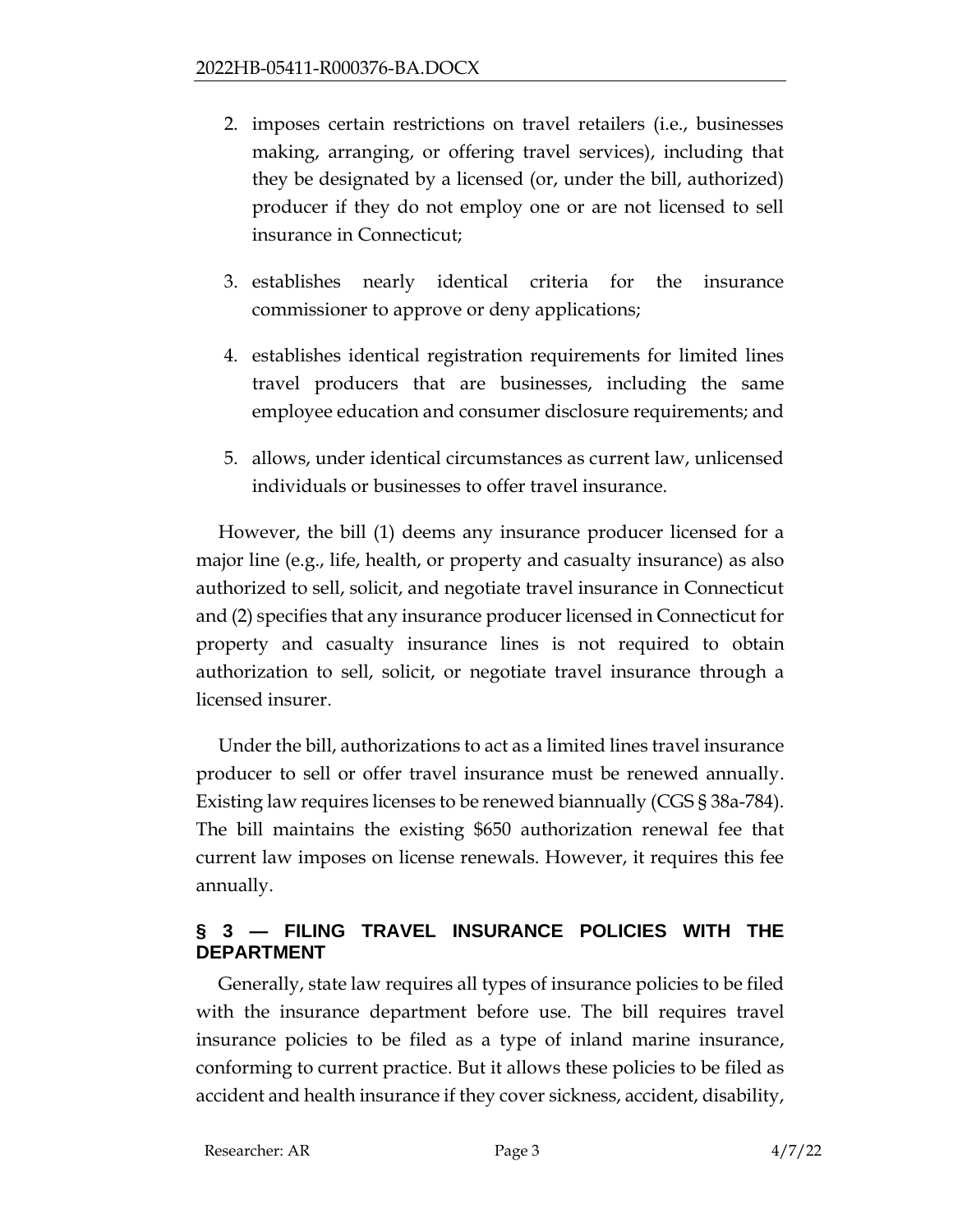- 2. imposes certain restrictions on travel retailers (i.e., businesses making, arranging, or offering travel services), including that they be designated by a licensed (or, under the bill, authorized) producer if they do not employ one or are not licensed to sell insurance in Connecticut;
- 3. establishes nearly identical criteria for the insurance commissioner to approve or deny applications;
- 4. establishes identical registration requirements for limited lines travel producers that are businesses, including the same employee education and consumer disclosure requirements; and
- 5. allows, under identical circumstances as current law, unlicensed individuals or businesses to offer travel insurance.

However, the bill (1) deems any insurance producer licensed for a major line (e.g., life, health, or property and casualty insurance) as also authorized to sell, solicit, and negotiate travel insurance in Connecticut and (2) specifies that any insurance producer licensed in Connecticut for property and casualty insurance lines is not required to obtain authorization to sell, solicit, or negotiate travel insurance through a licensed insurer.

Under the bill, authorizations to act as a limited lines travel insurance producer to sell or offer travel insurance must be renewed annually. Existing law requires licenses to be renewed biannually (CGS § 38a-784). The bill maintains the existing \$650 authorization renewal fee that current law imposes on license renewals. However, it requires this fee annually.

## **§ 3 — FILING TRAVEL INSURANCE POLICIES WITH THE DEPARTMENT**

Generally, state law requires all types of insurance policies to be filed with the insurance department before use. The bill requires travel insurance policies to be filed as a type of inland marine insurance, conforming to current practice. But it allows these policies to be filed as accident and health insurance if they cover sickness, accident, disability,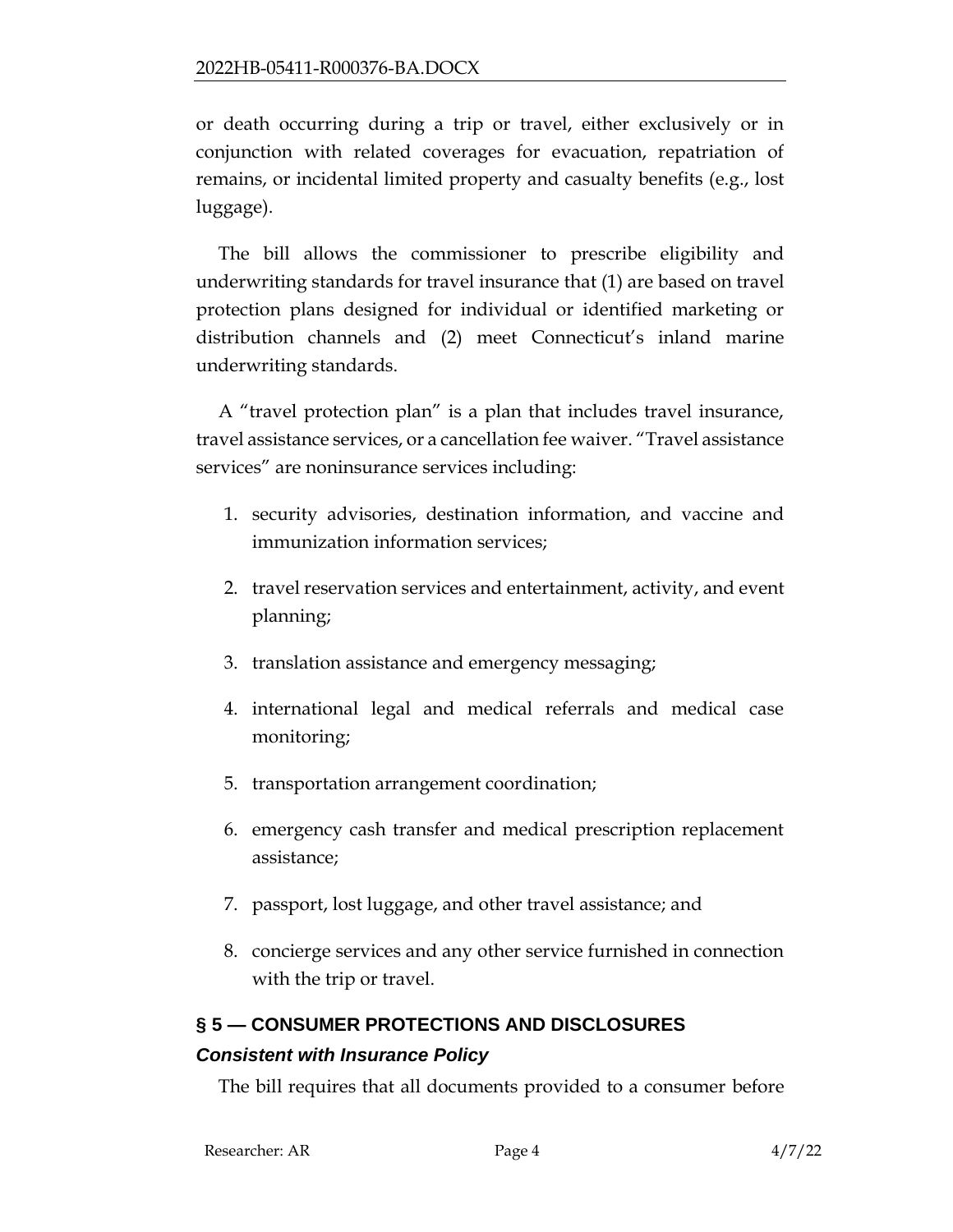or death occurring during a trip or travel, either exclusively or in conjunction with related coverages for evacuation, repatriation of remains, or incidental limited property and casualty benefits (e.g., lost luggage).

The bill allows the commissioner to prescribe eligibility and underwriting standards for travel insurance that (1) are based on travel protection plans designed for individual or identified marketing or distribution channels and (2) meet Connecticut's inland marine underwriting standards.

A "travel protection plan" is a plan that includes travel insurance, travel assistance services, or a cancellation fee waiver. "Travel assistance services" are noninsurance services including:

- 1. security advisories, destination information, and vaccine and immunization information services;
- 2. travel reservation services and entertainment, activity, and event planning;
- 3. translation assistance and emergency messaging;
- 4. international legal and medical referrals and medical case monitoring;
- 5. transportation arrangement coordination;
- 6. emergency cash transfer and medical prescription replacement assistance;
- 7. passport, lost luggage, and other travel assistance; and
- 8. concierge services and any other service furnished in connection with the trip or travel.

# **§ 5 — CONSUMER PROTECTIONS AND DISCLOSURES**

# *Consistent with Insurance Policy*

The bill requires that all documents provided to a consumer before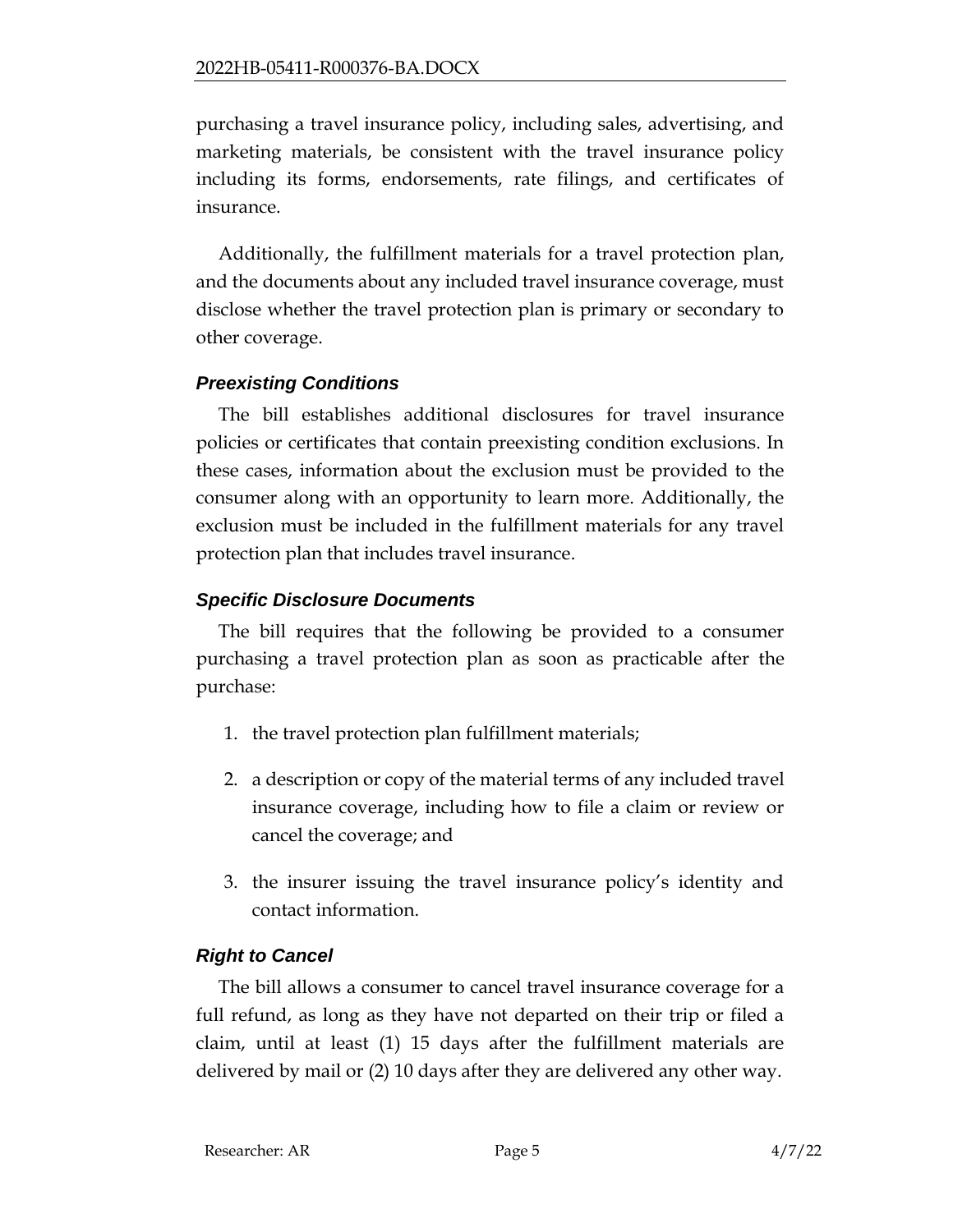purchasing a travel insurance policy, including sales, advertising, and marketing materials, be consistent with the travel insurance policy including its forms, endorsements, rate filings, and certificates of insurance.

Additionally, the fulfillment materials for a travel protection plan, and the documents about any included travel insurance coverage, must disclose whether the travel protection plan is primary or secondary to other coverage.

## *Preexisting Conditions*

The bill establishes additional disclosures for travel insurance policies or certificates that contain preexisting condition exclusions. In these cases, information about the exclusion must be provided to the consumer along with an opportunity to learn more. Additionally, the exclusion must be included in the fulfillment materials for any travel protection plan that includes travel insurance.

## *Specific Disclosure Documents*

The bill requires that the following be provided to a consumer purchasing a travel protection plan as soon as practicable after the purchase:

- 1. the travel protection plan fulfillment materials;
- 2. a description or copy of the material terms of any included travel insurance coverage, including how to file a claim or review or cancel the coverage; and
- 3. the insurer issuing the travel insurance policy's identity and contact information.

# *Right to Cancel*

The bill allows a consumer to cancel travel insurance coverage for a full refund, as long as they have not departed on their trip or filed a claim, until at least (1) 15 days after the fulfillment materials are delivered by mail or (2) 10 days after they are delivered any other way.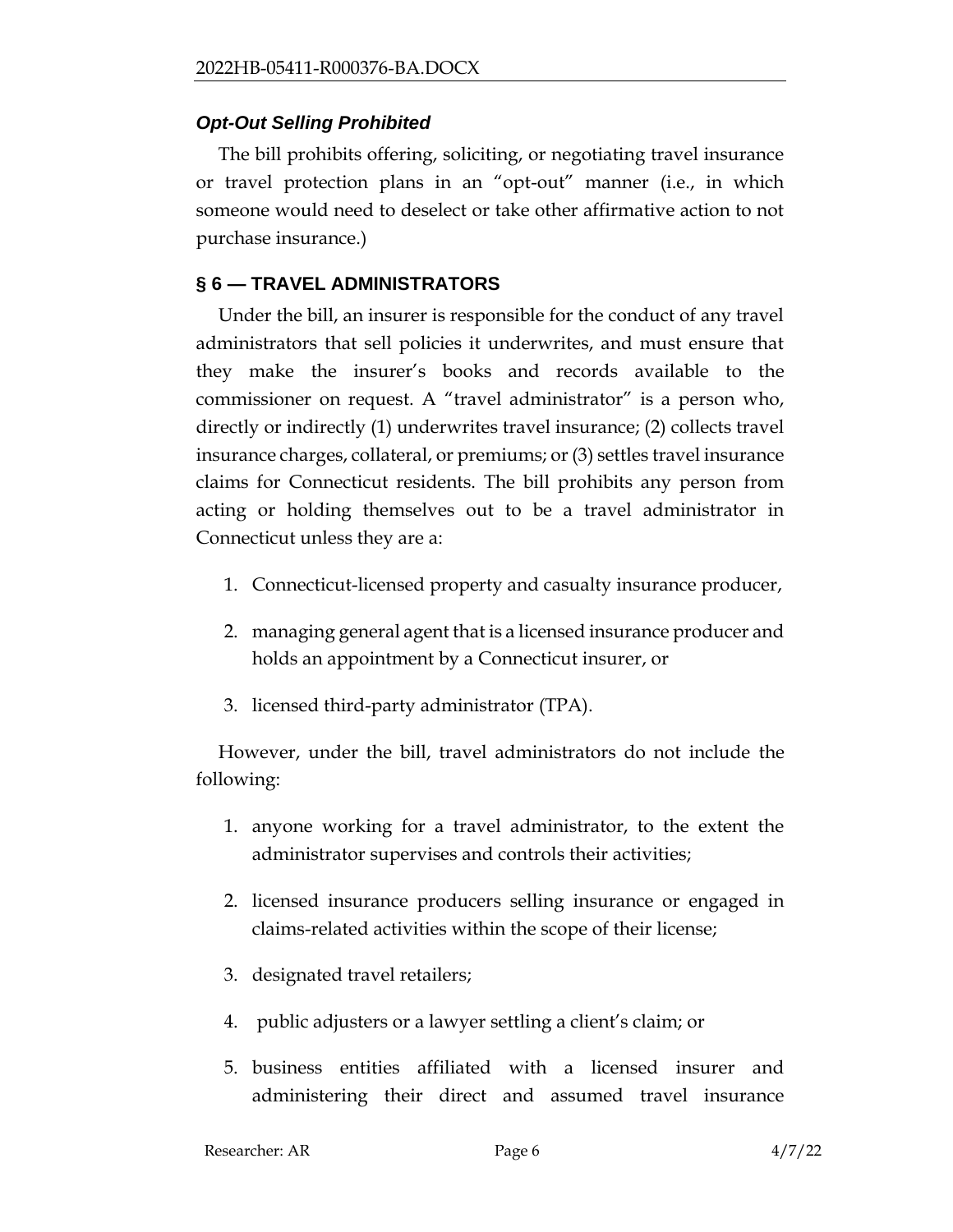#### *Opt-Out Selling Prohibited*

The bill prohibits offering, soliciting, or negotiating travel insurance or travel protection plans in an "opt-out" manner (i.e., in which someone would need to deselect or take other affirmative action to not purchase insurance.)

#### **§ 6 — TRAVEL ADMINISTRATORS**

Under the bill, an insurer is responsible for the conduct of any travel administrators that sell policies it underwrites, and must ensure that they make the insurer's books and records available to the commissioner on request. A "travel administrator" is a person who, directly or indirectly (1) underwrites travel insurance; (2) collects travel insurance charges, collateral, or premiums; or (3) settles travel insurance claims for Connecticut residents. The bill prohibits any person from acting or holding themselves out to be a travel administrator in Connecticut unless they are a:

- 1. Connecticut-licensed property and casualty insurance producer,
- 2. managing general agent that is a licensed insurance producer and holds an appointment by a Connecticut insurer, or
- 3. licensed third-party administrator (TPA).

However, under the bill, travel administrators do not include the following:

- 1. anyone working for a travel administrator, to the extent the administrator supervises and controls their activities;
- 2. licensed insurance producers selling insurance or engaged in claims-related activities within the scope of their license;
- 3. designated travel retailers;
- 4. public adjusters or a lawyer settling a client's claim; or
- 5. business entities affiliated with a licensed insurer and administering their direct and assumed travel insurance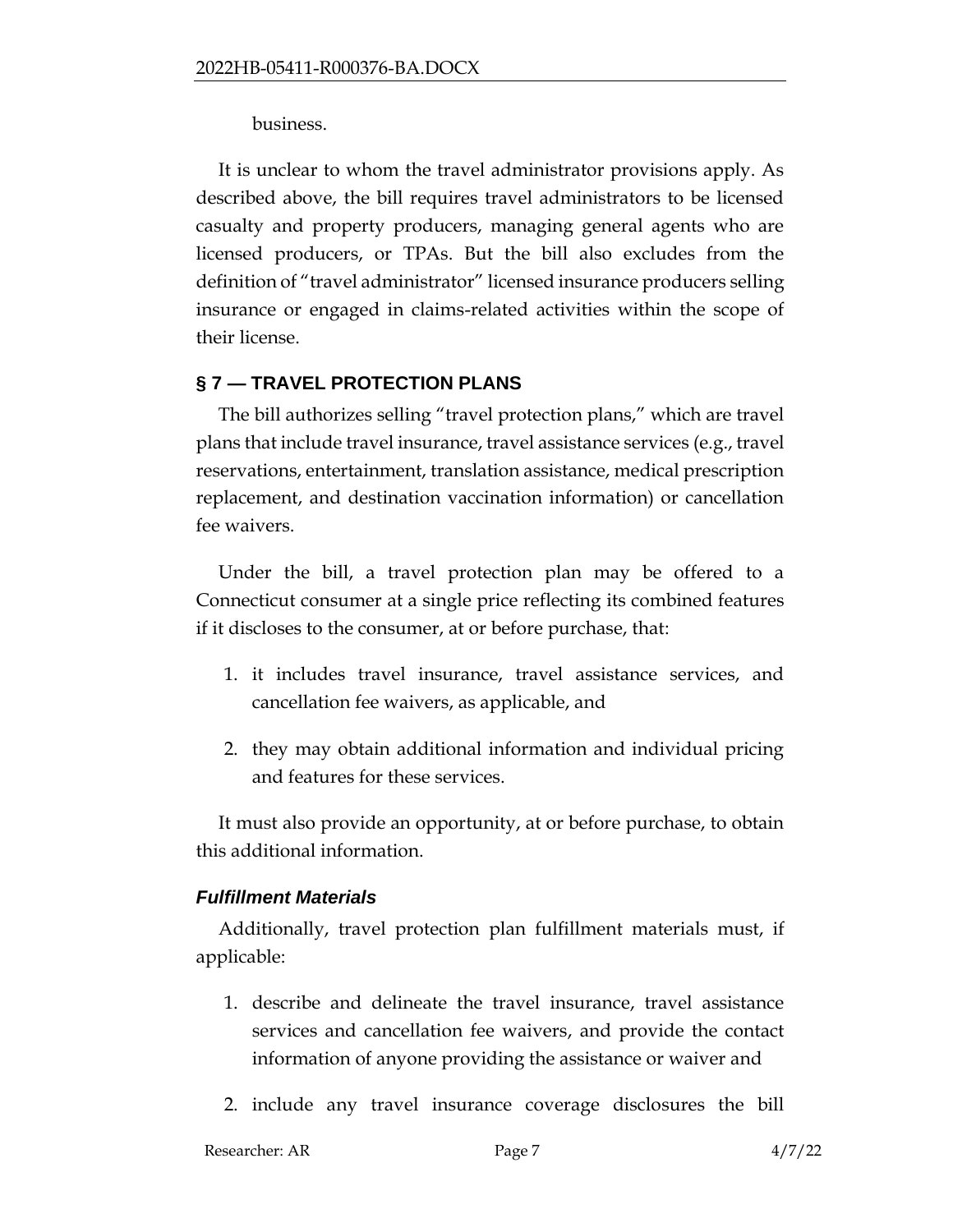business.

It is unclear to whom the travel administrator provisions apply. As described above, the bill requires travel administrators to be licensed casualty and property producers, managing general agents who are licensed producers, or TPAs. But the bill also excludes from the definition of "travel administrator" licensed insurance producers selling insurance or engaged in claims-related activities within the scope of their license.

## **§ 7 — TRAVEL PROTECTION PLANS**

The bill authorizes selling "travel protection plans," which are travel plans that include travel insurance, travel assistance services (e.g., travel reservations, entertainment, translation assistance, medical prescription replacement, and destination vaccination information) or cancellation fee waivers.

Under the bill, a travel protection plan may be offered to a Connecticut consumer at a single price reflecting its combined features if it discloses to the consumer, at or before purchase, that:

- 1. it includes travel insurance, travel assistance services, and cancellation fee waivers, as applicable, and
- 2. they may obtain additional information and individual pricing and features for these services.

It must also provide an opportunity, at or before purchase, to obtain this additional information.

# *Fulfillment Materials*

Additionally, travel protection plan fulfillment materials must, if applicable:

- 1. describe and delineate the travel insurance, travel assistance services and cancellation fee waivers, and provide the contact information of anyone providing the assistance or waiver and
- 2. include any travel insurance coverage disclosures the bill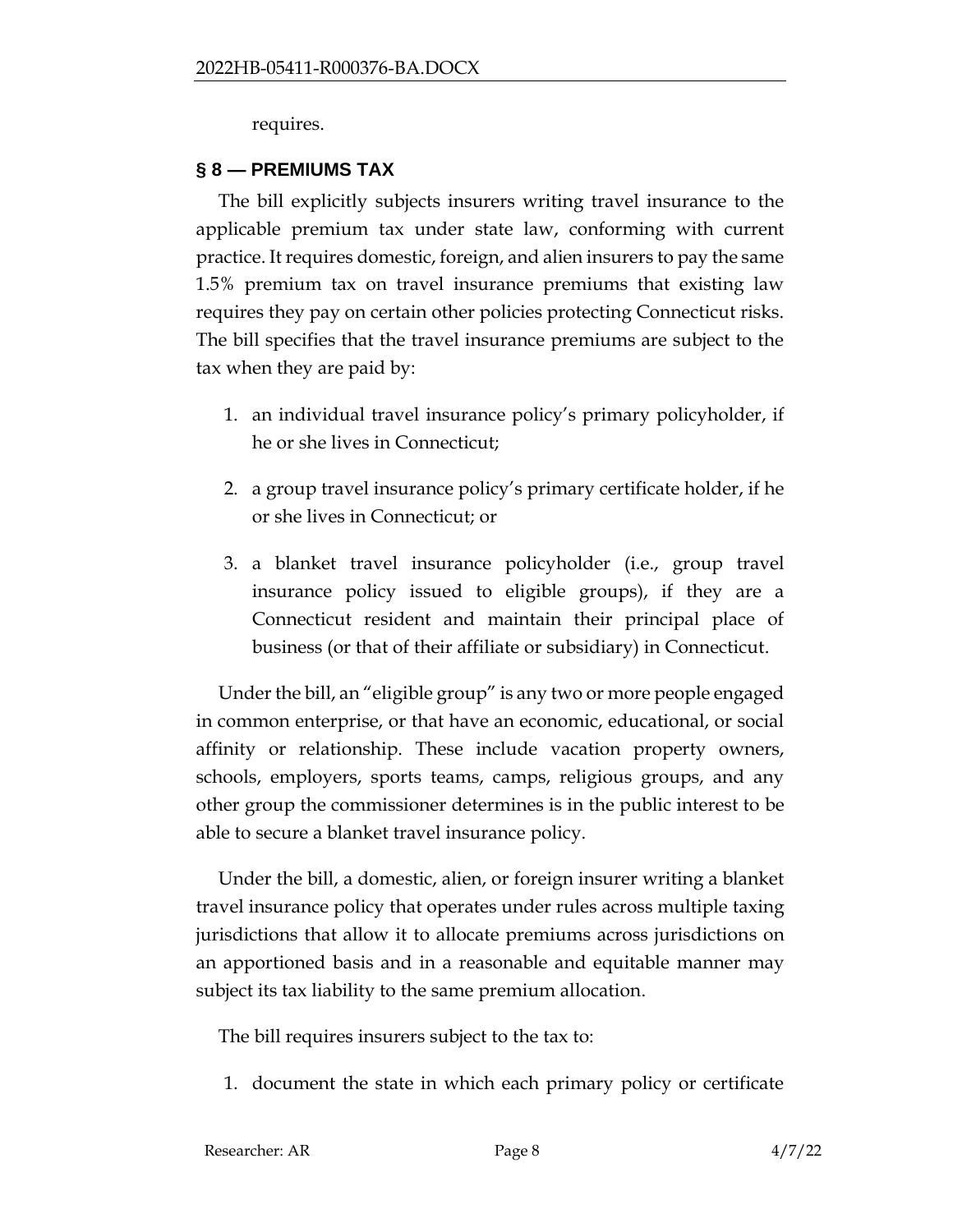requires.

#### **§ 8 — PREMIUMS TAX**

The bill explicitly subjects insurers writing travel insurance to the applicable premium tax under state law, conforming with current practice. It requires domestic, foreign, and alien insurers to pay the same 1.5% premium tax on travel insurance premiums that existing law requires they pay on certain other policies protecting Connecticut risks. The bill specifies that the travel insurance premiums are subject to the tax when they are paid by:

- 1. an individual travel insurance policy's primary policyholder, if he or she lives in Connecticut;
- 2. a group travel insurance policy's primary certificate holder, if he or she lives in Connecticut; or
- 3. a blanket travel insurance policyholder (i.e., group travel insurance policy issued to eligible groups), if they are a Connecticut resident and maintain their principal place of business (or that of their affiliate or subsidiary) in Connecticut.

Under the bill, an "eligible group" is any two or more people engaged in common enterprise, or that have an economic, educational, or social affinity or relationship. These include vacation property owners, schools, employers, sports teams, camps, religious groups, and any other group the commissioner determines is in the public interest to be able to secure a blanket travel insurance policy.

Under the bill, a domestic, alien, or foreign insurer writing a blanket travel insurance policy that operates under rules across multiple taxing jurisdictions that allow it to allocate premiums across jurisdictions on an apportioned basis and in a reasonable and equitable manner may subject its tax liability to the same premium allocation.

The bill requires insurers subject to the tax to:

1. document the state in which each primary policy or certificate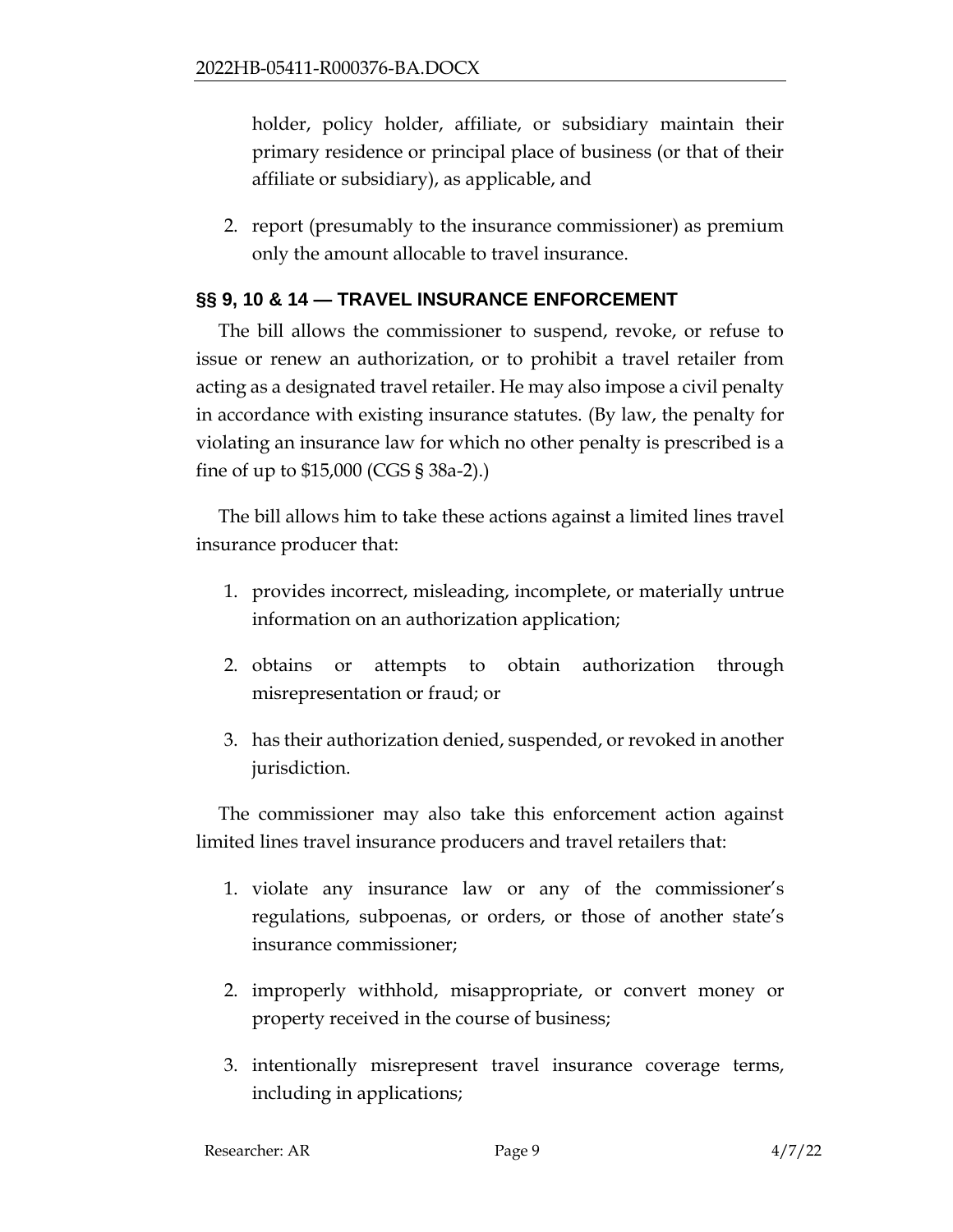holder, policy holder, affiliate, or subsidiary maintain their primary residence or principal place of business (or that of their affiliate or subsidiary), as applicable, and

2. report (presumably to the insurance commissioner) as premium only the amount allocable to travel insurance.

#### **§§ 9, 10 & 14 — TRAVEL INSURANCE ENFORCEMENT**

The bill allows the commissioner to suspend, revoke, or refuse to issue or renew an authorization, or to prohibit a travel retailer from acting as a designated travel retailer. He may also impose a civil penalty in accordance with existing insurance statutes. (By law, the penalty for violating an insurance law for which no other penalty is prescribed is a fine of up to \$15,000 (CGS § 38a-2).)

The bill allows him to take these actions against a limited lines travel insurance producer that:

- 1. provides incorrect, misleading, incomplete, or materially untrue information on an authorization application;
- 2. obtains or attempts to obtain authorization through misrepresentation or fraud; or
- 3. has their authorization denied, suspended, or revoked in another jurisdiction.

The commissioner may also take this enforcement action against limited lines travel insurance producers and travel retailers that:

- 1. violate any insurance law or any of the commissioner's regulations, subpoenas, or orders, or those of another state's insurance commissioner;
- 2. improperly withhold, misappropriate, or convert money or property received in the course of business;
- 3. intentionally misrepresent travel insurance coverage terms, including in applications;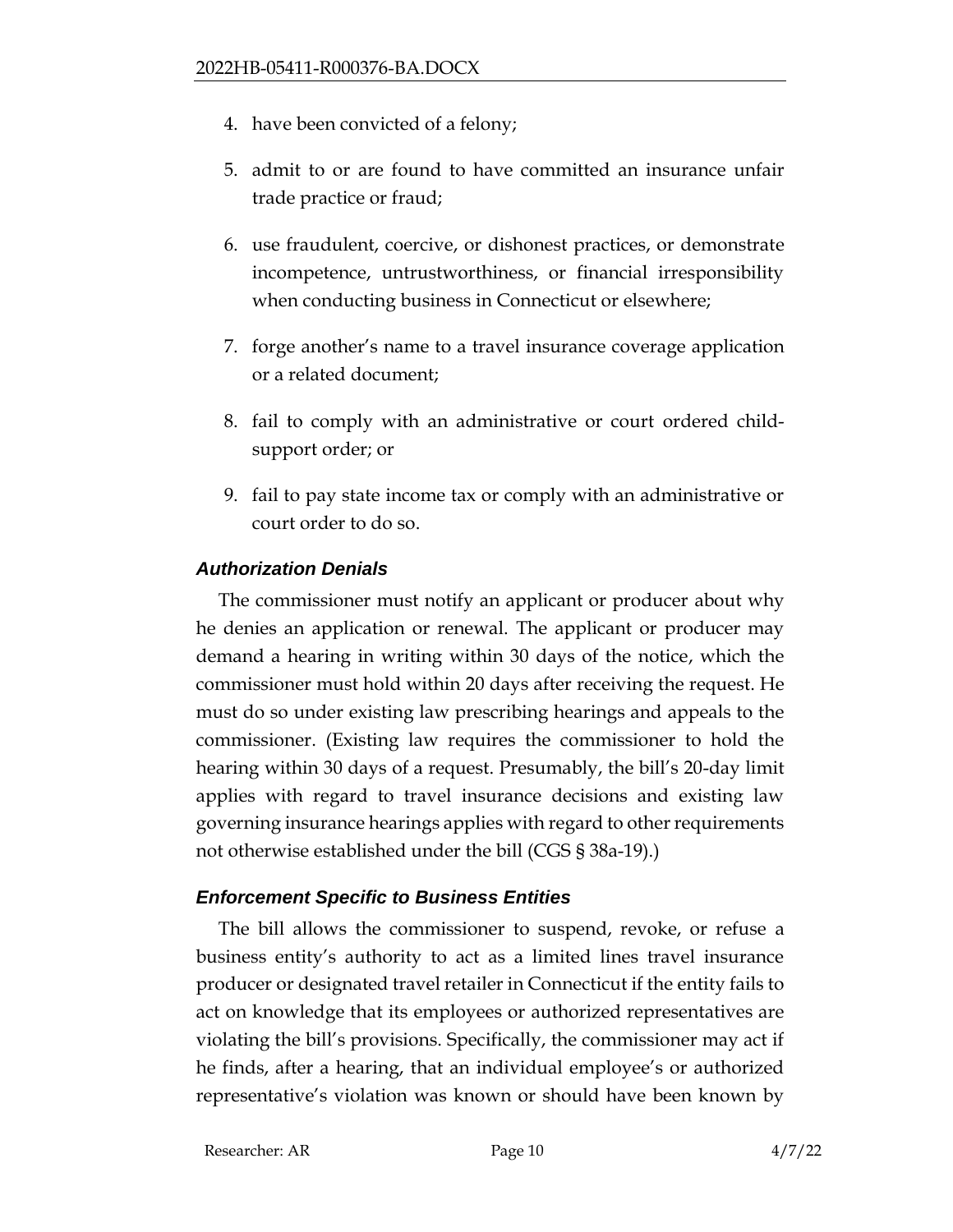- 4. have been convicted of a felony;
- 5. admit to or are found to have committed an insurance unfair trade practice or fraud;
- 6. use fraudulent, coercive, or dishonest practices, or demonstrate incompetence, untrustworthiness, or financial irresponsibility when conducting business in Connecticut or elsewhere;
- 7. forge another's name to a travel insurance coverage application or a related document;
- 8. fail to comply with an administrative or court ordered childsupport order; or
- 9. fail to pay state income tax or comply with an administrative or court order to do so.

## *Authorization Denials*

The commissioner must notify an applicant or producer about why he denies an application or renewal. The applicant or producer may demand a hearing in writing within 30 days of the notice, which the commissioner must hold within 20 days after receiving the request. He must do so under existing law prescribing hearings and appeals to the commissioner. (Existing law requires the commissioner to hold the hearing within 30 days of a request. Presumably, the bill's 20-day limit applies with regard to travel insurance decisions and existing law governing insurance hearings applies with regard to other requirements not otherwise established under the bill (CGS § 38a-19).)

# *Enforcement Specific to Business Entities*

The bill allows the commissioner to suspend, revoke, or refuse a business entity's authority to act as a limited lines travel insurance producer or designated travel retailer in Connecticut if the entity fails to act on knowledge that its employees or authorized representatives are violating the bill's provisions. Specifically, the commissioner may act if he finds, after a hearing, that an individual employee's or authorized representative's violation was known or should have been known by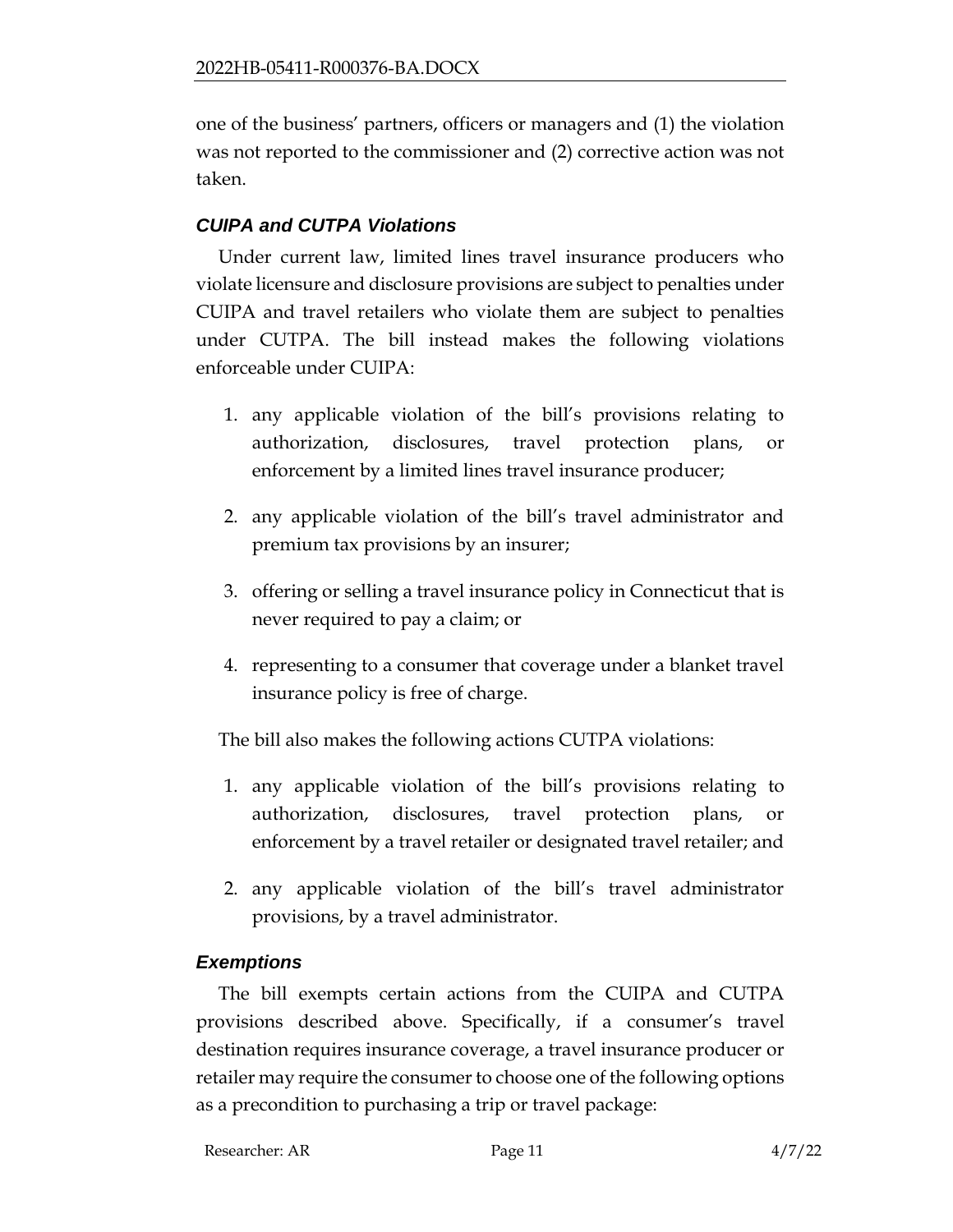one of the business' partners, officers or managers and (1) the violation was not reported to the commissioner and (2) corrective action was not taken.

# *CUIPA and CUTPA Violations*

Under current law, limited lines travel insurance producers who violate licensure and disclosure provisions are subject to penalties under CUIPA and travel retailers who violate them are subject to penalties under CUTPA. The bill instead makes the following violations enforceable under CUIPA:

- 1. any applicable violation of the bill's provisions relating to authorization, disclosures, travel protection plans, or enforcement by a limited lines travel insurance producer;
- 2. any applicable violation of the bill's travel administrator and premium tax provisions by an insurer;
- 3. offering or selling a travel insurance policy in Connecticut that is never required to pay a claim; or
- 4. representing to a consumer that coverage under a blanket travel insurance policy is free of charge.

The bill also makes the following actions CUTPA violations:

- 1. any applicable violation of the bill's provisions relating to authorization, disclosures, travel protection plans, or enforcement by a travel retailer or designated travel retailer; and
- 2. any applicable violation of the bill's travel administrator provisions, by a travel administrator.

#### *Exemptions*

The bill exempts certain actions from the CUIPA and CUTPA provisions described above. Specifically, if a consumer's travel destination requires insurance coverage, a travel insurance producer or retailer may require the consumer to choose one of the following options as a precondition to purchasing a trip or travel package: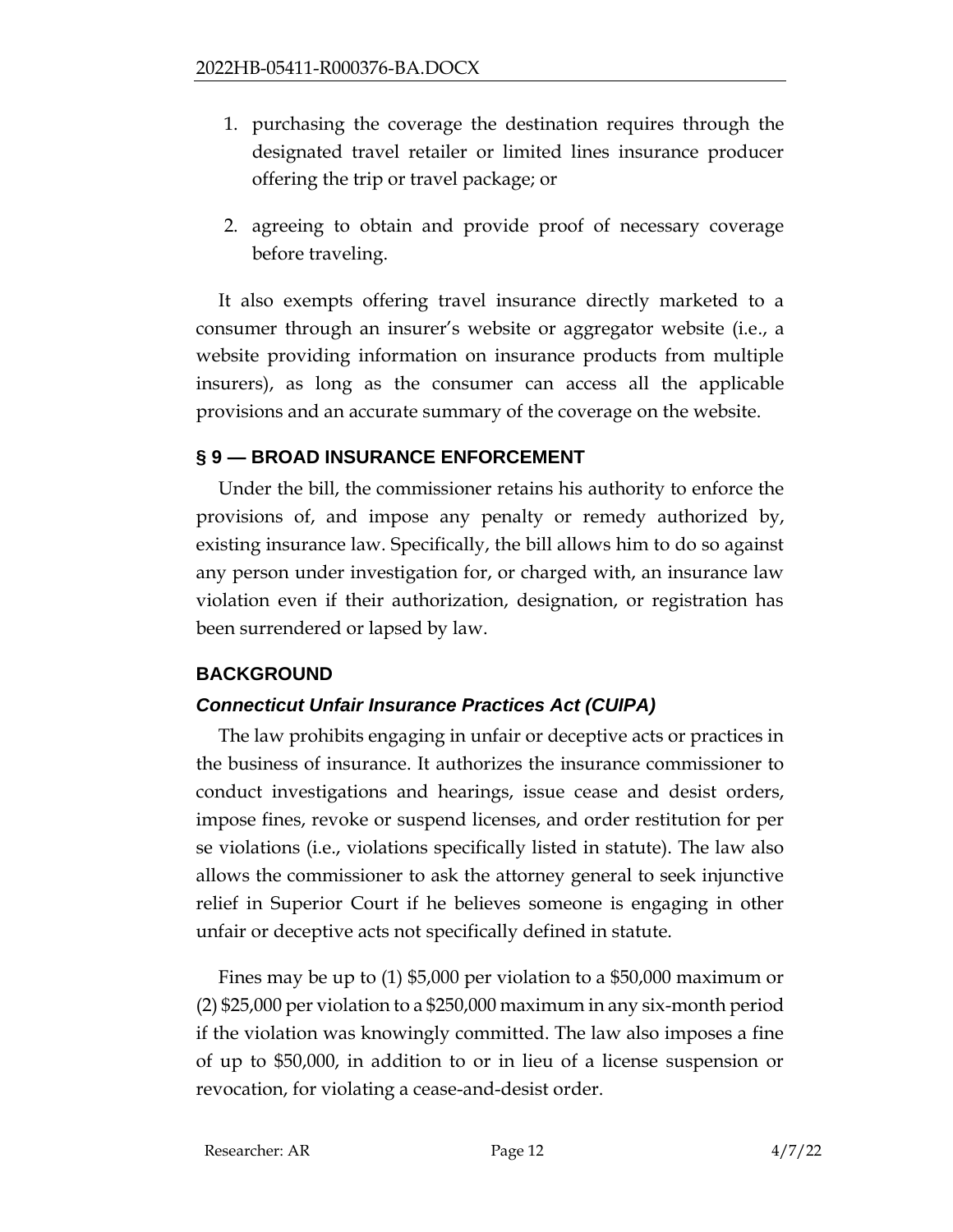- 1. purchasing the coverage the destination requires through the designated travel retailer or limited lines insurance producer offering the trip or travel package; or
- 2. agreeing to obtain and provide proof of necessary coverage before traveling.

It also exempts offering travel insurance directly marketed to a consumer through an insurer's website or aggregator website (i.e., a website providing information on insurance products from multiple insurers), as long as the consumer can access all the applicable provisions and an accurate summary of the coverage on the website.

#### **§ 9 — BROAD INSURANCE ENFORCEMENT**

Under the bill, the commissioner retains his authority to enforce the provisions of, and impose any penalty or remedy authorized by, existing insurance law. Specifically, the bill allows him to do so against any person under investigation for, or charged with, an insurance law violation even if their authorization, designation, or registration has been surrendered or lapsed by law.

# **BACKGROUND**

#### *Connecticut Unfair Insurance Practices Act (CUIPA)*

The law prohibits engaging in unfair or deceptive acts or practices in the business of insurance. It authorizes the insurance commissioner to conduct investigations and hearings, issue cease and desist orders, impose fines, revoke or suspend licenses, and order restitution for per se violations (i.e., violations specifically listed in statute). The law also allows the commissioner to ask the attorney general to seek injunctive relief in Superior Court if he believes someone is engaging in other unfair or deceptive acts not specifically defined in statute.

Fines may be up to (1) \$5,000 per violation to a \$50,000 maximum or (2) \$25,000 per violation to a \$250,000 maximum in any six-month period if the violation was knowingly committed. The law also imposes a fine of up to \$50,000, in addition to or in lieu of a license suspension or revocation, for violating a cease-and-desist order.